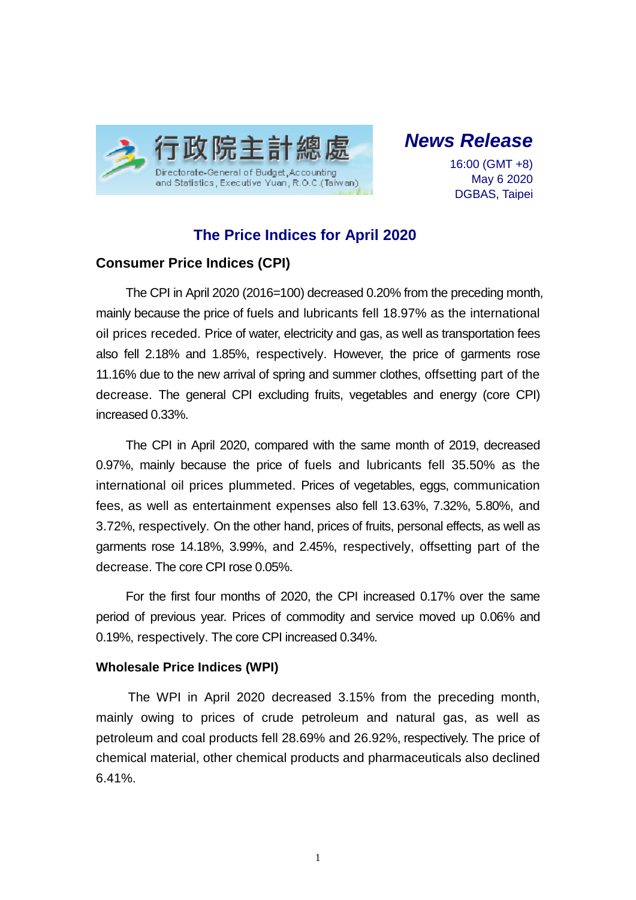

*News Release*

16:00 (GMT +8) May 6 2020 DGBAS, Taipei

# **The Price Indices for April 2020**

## **Consumer Price Indices (CPI)**

The CPI in April 2020 (2016=100) decreased 0.20% from the preceding month, mainly because the price of fuels and lubricants fell 18.97% as the international oil prices receded. Price of water, electricity and gas, as well as transportation fees also fell 2.18% and 1.85%, respectively. However, the price of garments rose 11.16% due to the new arrival of spring and summer clothes, offsetting part of the decrease. The general CPI excluding fruits, vegetables and energy (core CPI) increased 0.33%.

The CPI in April 2020, compared with the same month of 2019, decreased 0.97%, mainly because the price of fuels and lubricants fell 35.50% as the international oil prices plummeted. Prices of vegetables, eggs, communication fees, as well as entertainment expenses also fell 13.63%, 7.32%, 5.80%, and 3.72%, respectively. On the other hand, prices of fruits, personal effects, as well as garments rose 14.18%, 3.99%, and 2.45%, respectively, offsetting part of the decrease. The core CPI rose 0.05%.

For the first four months of 2020, the CPI increased 0.17% over the same period of previous year. Prices of commodity and service moved up 0.06% and 0.19%, respectively. The core CPI increased 0.34%.

#### **Wholesale Price Indices (WPI)**

The WPI in April 2020 decreased 3.15% from the preceding month, mainly owing to prices of crude petroleum and natural gas, as well as petroleum and coal products fell 28.69% and 26.92%, respectively. The price of chemical material, other chemical products and pharmaceuticals also declined 6.41%.